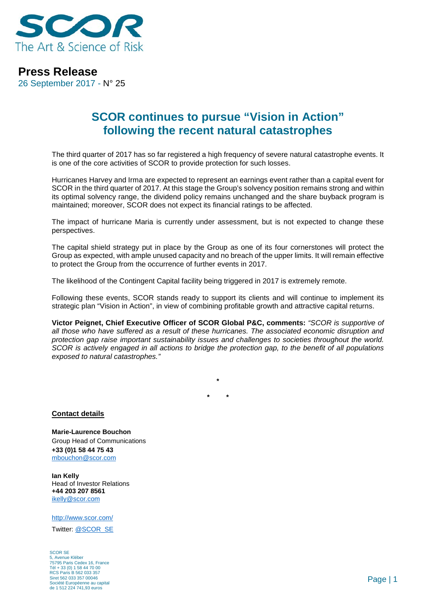

## **Press Release**

26 September 2017 - N° 25

## **SCOR continues to pursue "Vision in Action" following the recent natural catastrophes**

The third quarter of 2017 has so far registered a high frequency of severe natural catastrophe events. It is one of the core activities of SCOR to provide protection for such losses.

Hurricanes Harvey and Irma are expected to represent an earnings event rather than a capital event for SCOR in the third quarter of 2017. At this stage the Group's solvency position remains strong and within its optimal solvency range, the dividend policy remains unchanged and the share buyback program is maintained; moreover, SCOR does not expect its financial ratings to be affected.

The impact of hurricane Maria is currently under assessment, but is not expected to change these perspectives.

The capital shield strategy put in place by the Group as one of its four cornerstones will protect the Group as expected, with ample unused capacity and no breach of the upper limits. It will remain effective to protect the Group from the occurrence of further events in 2017.

The likelihood of the Contingent Capital facility being triggered in 2017 is extremely remote.

Following these events, SCOR stands ready to support its clients and will continue to implement its strategic plan "Vision in Action", in view of combining profitable growth and attractive capital returns.

**Victor Peignet, Chief Executive Officer of SCOR Global P&C, comments:** *"SCOR is supportive of all those who have suffered as a result of these hurricanes. The associated economic disruption and protection gap raise important sustainability issues and challenges to societies throughout the world. SCOR is actively engaged in all actions to bridge the protection gap, to the benefit of all populations exposed to natural catastrophes."*

> **\* \* \***

**Contact details**

**Marie-Laurence Bouchon** Group Head of Communications **+33 (0)1 58 44 75 43** [mbouchon@scor.com](mailto:mbouchon@scor.com)

**Ian Kelly** Head of Investor Relations **+44 203 207 8561** [ikelly@scor.com](mailto:ikelly@scor.com)

[http://www.scor.com/](http://www.scor.com/en/)

Twitter: [@SCOR\\_SE](https://twitter.com/SCOR_SE)

SCOR SE 5, Avenue Kléber 75795 Paris Cedex 16, France Tél + 33 (0) 1 58 44 70 00 RCS Paris B 562 033 357 Siret 562 033 357 00046 Société Européenne au capital de 1 512 224 741,93 euros